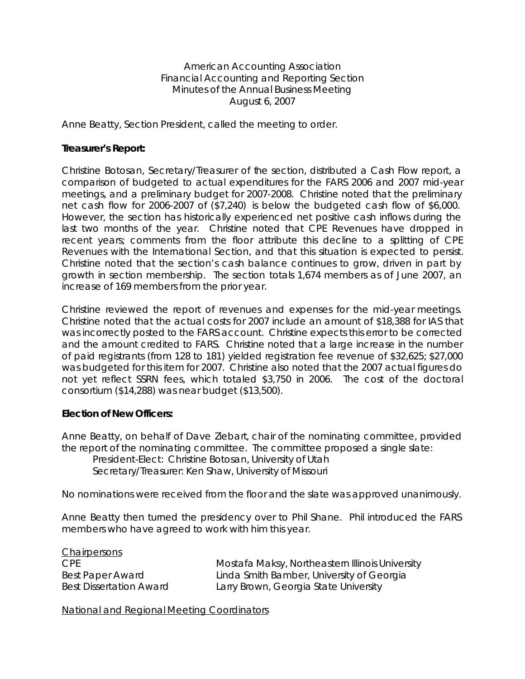American Accounting Association Financial Accounting and Reporting Section Minutes of the Annual Business Meeting August 6, 2007

Anne Beatty, Section President, called the meeting to order.

### **Treasurer's Report:**

Christine Botosan, Secretary/Treasurer of the section, distributed a Cash Flow report, a comparison of budgeted to actual expenditures for the FARS 2006 and 2007 mid-year meetings, and a preliminary budget for 2007-2008. Christine noted that the preliminary net cash flow for 2006-2007 of (\$7,240) is below the budgeted cash flow of \$6,000. However, the section has historically experienced net positive cash inflows during the last two months of the year. Christine noted that CPE Revenues have dropped in recent years; comments from the floor attribute this decline to a splitting of CPE Revenues with the International Section, and that this situation is expected to persist. Christine noted that the section's cash balance continues to grow, driven in part by growth in section membership. The section totals 1,674 members as of June 2007, an increase of 169 members from the prior year.

Christine reviewed the report of revenues and expenses for the mid-year meetings. Christine noted that the actual costs for 2007 include an amount of \$18,388 for IAS that was incorrectly posted to the FARS account. Christine expects this error to be corrected and the amount credited to FARS. Christine noted that a large increase in the number of paid registrants (from 128 to 181) yielded registration fee revenue of \$32,625; \$27,000 was budgeted for this item for 2007. Christine also noted that the 2007 actual figures do not yet reflect SSRN fees, which totaled \$3,750 in 2006. The cost of the doctoral consortium (\$14,288) was near budget (\$13,500).

#### **Election of New Officers:**

Anne Beatty, on behalf of Dave Ziebart, chair of the nominating committee, provided the report of the nominating committee. The committee proposed a single slate:

President-Elect: Christine Botosan, University of Utah Secretary/Treasurer: Ken Shaw, University of Missouri

No nominations were received from the floor and the slate was approved unanimously.

Anne Beatty then turned the presidency over to Phil Shane. Phil introduced the FARS members who have agreed to work with him this year.

**Chairpersons** 

CPE Mostafa Maksy, Northeastern Illinois University Best Paper Award Linda Smith Bamber, University of Georgia Best Dissertation Award Larry Brown, Georgia State University

National and Regional Meeting Coordinators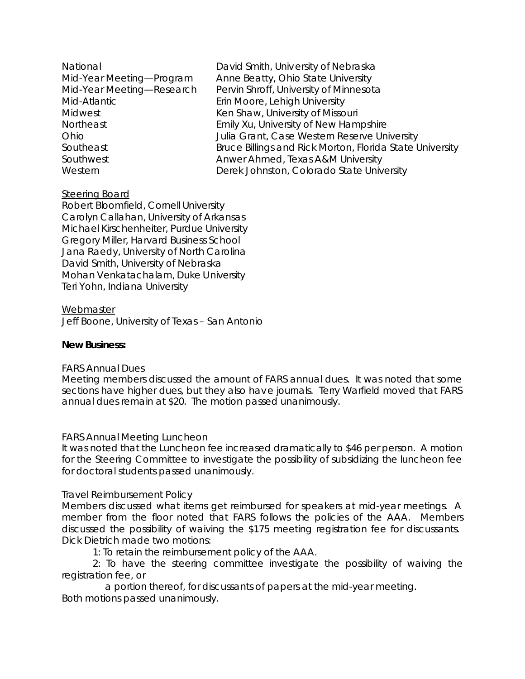| National                  | David Smith, University of Nebraska                      |
|---------------------------|----------------------------------------------------------|
| Mid-Year Meeting-Program  | Anne Beatty, Ohio State University                       |
| Mid-Year Meeting-Research | Pervin Shroff, University of Minnesota                   |
| Mid-Atlantic              | Erin Moore, Lehigh University                            |
| <b>Midwest</b>            | Ken Shaw, University of Missouri                         |
| Northeast                 | Emily Xu, University of New Hampshire                    |
| Ohio                      | Julia Grant, Case Western Reserve University             |
| Southeast                 | Bruce Billings and Rick Morton, Florida State University |
| Southwest                 | Anwer Ahmed, Texas A&M University                        |
| Western                   | Derek Johnston, Colorado State University                |

# Steering Board

Robert Bloomfield, Cornell University Carolyn Callahan, University of Arkansas Michael Kirschenheiter, Purdue University Gregory Miller, Harvard Business School Jana Raedy, University of North Carolina David Smith, University of Nebraska Mohan Venkatachalam, Duke University Teri Yohn, Indiana University

**Webmaster** Jeff Boone, University of Texas – San Antonio

## **New Business:**

## *FARS Annual Dues*

Meeting members discussed the amount of FARS annual dues. It was noted that some sections have higher dues, but they also have journals. Terry Warfield moved that FARS annual dues remain at \$20. The motion passed unanimously.

## *FARS Annual Meeting Luncheon*

It was noted that the Luncheon fee increased dramatically to \$46 per person. A motion for the Steering Committee to investigate the possibility of subsidizing the luncheon fee for doctoral students passed unanimously.

## *Travel Reimbursement Policy*

Members discussed what items get reimbursed for speakers at mid-year meetings. A member from the floor noted that FARS follows the policies of the AAA. Members discussed the possibility of waiving the \$175 meeting registration fee for discussants. Dick Dietrich made two motions:

1: To retain the reimbursement policy of the AAA.

2: To have the steering committee investigate the possibility of waiving the registration fee, or

 a portion thereof, for discussants of papers at the mid-year meeting. Both motions passed unanimously.